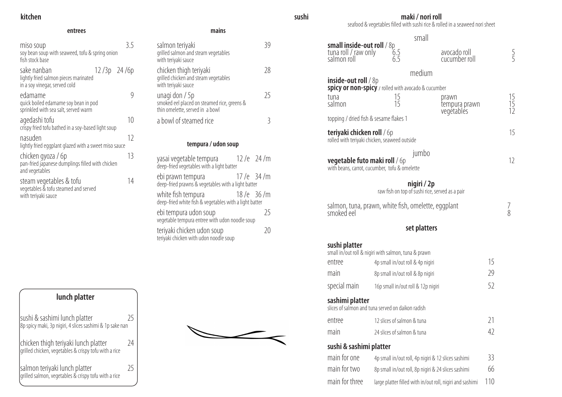# **kitchen**

## **entrees mains**

| miso soup<br>soy bean soup with seaweed, tofu & spring onion<br>fish stock base          |               | 3.5 |
|------------------------------------------------------------------------------------------|---------------|-----|
| sake nanban<br>lightly fried salmon pieces marinated<br>in a soy vinegar, served cold    | $12/3p$ 24/6p |     |
| edamame<br>quick boiled edamame soy bean in pod<br>sprinkled with sea salt, served warm  |               |     |
| agedashi tofu<br>crispy fried tofu bathed in a soy-based light soup                      |               | 10  |
| nasuden<br>lightly fried eggplant glazed with a sweet miso sauce                         |               | 12  |
| chicken gyoza / 6p<br>pan-fried japanese dumplings filled with chicken<br>and vegetables |               | 13  |
| steam vegetables & tofu<br>vegetables & tofu steamed and served<br>with teriyaki sauce   |               | 14  |

| <br>. .<br>×<br>٧ |  |
|-------------------|--|

| salmon teriyaki<br>grilled salmon and steam vegetables<br>with teriyaki sauce                    |      |
|--------------------------------------------------------------------------------------------------|------|
| chicken thigh teriyaki<br>grilled chicken and steam vegetables<br>with teriyaki sauce            | - 78 |
| unagi don / 5p<br>smoked eel placed on steamed rice, greens &<br>thin omelette, served in a bowl | 75   |
| a bowl of steamed rice                                                                           |      |

# **tempura / udon soup**

| yasai vegetable tempura                                                      | $12/e$ 24/m |             |
|------------------------------------------------------------------------------|-------------|-------------|
| ebi prawn tempura<br>deep-fried prawns & vegetables with a light batter      | $17/e$ 34/m |             |
| white fish tempura<br>deep-fried white fish & vegetables with a light batter | $18/e$ 36/m |             |
| ebi tempura udon soup<br>vegetable tempura entree with udon noodle soup      |             | 75          |
| teriyaki chicken udon soup<br>teriyaki chicken with udon noodle soup         |             | $\lambda()$ |

# **maki / nori roll**

seafood & vegetables filled with sushi rice & rolled in a seaweed nori sheet

| 6.5 |
|-----|

# small

| <b>small inside-out roll</b> / 8p<br>tuna roll / raw only 6<br>salmon roll 6 | 6.5<br>$6.\overline{5}$                                        | avocado roll<br>cucumber roll                             |     | $\frac{5}{5}$   |
|------------------------------------------------------------------------------|----------------------------------------------------------------|-----------------------------------------------------------|-----|-----------------|
|                                                                              | medium                                                         |                                                           |     |                 |
| <b>inside-out roll</b> $\frac{1}{8}$                                         | <b>spicy or non-spicy</b> / rolled with avocado & cucumber     |                                                           |     |                 |
| tuna<br>salmon                                                               | 15<br>15                                                       | prawn<br>tempura prawn<br>vegétablés                      |     | $\frac{15}{15}$ |
| topping / dried fish & sesame flakes 1                                       |                                                                |                                                           |     |                 |
| <b>teriyaki chicken roll / 6p</b>                                            | rolled with teriyaki chicken, seaweed outside                  |                                                           |     | 15              |
| <b>vegetable futo maki roll</b> / 6p                                         | jumbo<br>with beans, carrot, cucumber, tofu & omelette         |                                                           |     | 12              |
|                                                                              | nigiri / 2p<br>raw fish on top of sushi rice, served as a pair |                                                           |     |                 |
| smoked eel                                                                   | salmon, tuna, prawn, white fish, omelette, eggplant            |                                                           |     | 8               |
|                                                                              |                                                                | set platters                                              |     |                 |
| sushi platter                                                                | small in/out roll & nigiri with salmon, tuna & prawn           |                                                           |     |                 |
| entree                                                                       | 4p small in/out roll & 4p nigiri                               |                                                           | 15  |                 |
| main                                                                         | 8p small in/out roll & 8p nigiri                               |                                                           | 29  |                 |
| special main                                                                 | 16p small in/out roll & 12p nigiri                             |                                                           | 52  |                 |
| sashimi platter                                                              | slices of salmon and tuna served on daikon radish              |                                                           |     |                 |
| entree                                                                       | 12 slices of salmon & tuna                                     |                                                           | 21  |                 |
| main                                                                         | 24 slices of salmon & tuna                                     |                                                           | 42  |                 |
| sushi & sashimi platter                                                      |                                                                |                                                           |     |                 |
| main for one                                                                 |                                                                | 4p small in/out roll, 4p nigiri & 12 slices sashimi       | 33  |                 |
| main for two                                                                 |                                                                | 8p small in/out roll, 8p nigiri & 24 slices sashimi       | 66  |                 |
| main for three                                                               |                                                                | large platter filled with in/out roll, nigiri and sashimi | 110 |                 |

| <b>smail inside-out roll</b> / 8p<br>tuna roll / raw only<br>salmon roll | 6.5<br>6.5                                                     | avocado roll<br>cucumber roll                             |     | <b>「一」</b>     |
|--------------------------------------------------------------------------|----------------------------------------------------------------|-----------------------------------------------------------|-----|----------------|
|                                                                          |                                                                | medium                                                    |     |                |
| $inside$ -out roll / $8p$                                                | spicy or non-spicy / rolled with avocado & cucumber            |                                                           |     |                |
| tuna<br>salmon                                                           | 15<br>15                                                       | prawn<br>tempura prawn<br>vegétablés                      |     | 15<br>15<br>12 |
| topping / dried fish & sesame flakes 1                                   |                                                                |                                                           |     |                |
| <b>teriyaki chicken roll</b> / 6p                                        | rolled with teriyaki chicken, seaweed outside                  |                                                           |     | 15             |
| <b>vegetable futo maki roll / 6p</b>                                     | with beans, carrot, cucumber, tofu & omelette                  | jumbo                                                     |     | 12             |
|                                                                          | nigiri / 2p<br>raw fish on top of sushi rice, served as a pair |                                                           |     |                |
| smoked eel                                                               | salmon, tuna, prawn, white fish, omelette, eggplant            |                                                           |     | 8              |
|                                                                          |                                                                | set platters                                              |     |                |
| sushi platter                                                            | small in/out roll & nigiri with salmon, tuna & prawn           |                                                           |     |                |
| entree                                                                   | 4p small in/out roll & 4p nigiri                               |                                                           | 15  |                |
| main                                                                     | 8p small in/out roll & 8p nigiri                               |                                                           | 29  |                |
| special main                                                             | 16p small in/out roll & 12p nigiri                             |                                                           | 52  |                |
| sashimi platter                                                          | slices of salmon and tuna served on daikon radish              |                                                           |     |                |
| entree                                                                   | 12 slices of salmon & tuna                                     |                                                           | 21  |                |
| main                                                                     | 24 slices of salmon & tuna                                     |                                                           | 42  |                |
| sushi & sashimi platter                                                  |                                                                |                                                           |     |                |
| main for one                                                             |                                                                | 4p small in/out roll, 4p nigiri & 12 slices sashimi       | 33  |                |
| main for two                                                             |                                                                | 8p small in/out roll, 8p nigiri & 24 slices sashimi       | 66  |                |
| main for three                                                           |                                                                | large platter filled with in/out roll, nigiri and sashimi | 110 |                |

**sushi** 

| <b>small inside-out roll</b> / 8p<br>tuna roll / raw only<br>salmon roll | 6.5<br>6.5                                           | avocado roll<br>cucumber roll                             |     | <b>「一」</b>                                      |
|--------------------------------------------------------------------------|------------------------------------------------------|-----------------------------------------------------------|-----|-------------------------------------------------|
|                                                                          | medium                                               |                                                           |     |                                                 |
| <b>inside-out roll</b> $/ 8p$                                            | spicy or non-spicy / rolled with avocado & cucumber  |                                                           |     |                                                 |
| tuna                                                                     | 15                                                   | prawn                                                     |     |                                                 |
| salmon                                                                   | 15                                                   | tempura prawn<br>vegétablés                               |     | $\begin{array}{c}\n15 \\ 15 \\ 12\n\end{array}$ |
| topping / dried fish & sesame flakes 1                                   |                                                      |                                                           |     |                                                 |
| <b>teriyaki chicken roll / 6p</b>                                        | rolled with teriyaki chicken, seaweed outside        |                                                           |     | 15                                              |
|                                                                          | jumbo                                                |                                                           |     |                                                 |
| <b>vegetable futo maki roll / 6p</b>                                     | with beans, carrot, cucumber, tofu & omelette        |                                                           |     | 12                                              |
|                                                                          | nigiri / 2p                                          |                                                           |     |                                                 |
|                                                                          | raw fish on top of sushi rice, served as a pair      |                                                           |     |                                                 |
| smoked eel                                                               | salmon, tuna, prawn, white fish, omelette, eggplant  |                                                           |     | 8                                               |
|                                                                          | set platters                                         |                                                           |     |                                                 |
| sushi platter                                                            |                                                      |                                                           |     |                                                 |
|                                                                          | small in/out roll & nigiri with salmon, tuna & prawn |                                                           |     |                                                 |
| entree                                                                   | 4p small in/out roll & 4p nigiri                     |                                                           | 15  |                                                 |
| main                                                                     | 8p small in/out roll & 8p nigiri                     |                                                           | 29  |                                                 |
| special main                                                             | 16p small in/out roll & 12p nigiri                   |                                                           | 52  |                                                 |
| sashimi platter                                                          | slices of salmon and tuna served on daikon radish    |                                                           |     |                                                 |
| entree                                                                   | 12 slices of salmon & tuna                           |                                                           | 21  |                                                 |
| main                                                                     | 24 slices of salmon & tuna                           |                                                           | 42  |                                                 |
| sushi & sashimi platter                                                  |                                                      |                                                           |     |                                                 |
| main for one                                                             |                                                      | 4p small in/out roll, 4p nigiri & 12 slices sashimi       | 33  |                                                 |
| main for two                                                             |                                                      | 8p small in/out roll, 8p nigiri & 24 slices sashimi       | 66  |                                                 |
| main for three                                                           |                                                      | large platter filled with in/out roll, nigiri and sashimi | 110 |                                                 |

sushi & sashimi lunch platter 25 8p spicy maki, 3p nigiri, 4 slices sashimi & 1p sake nan chicken thigh teriyaki lunch platter 24 grilled chicken, vegetables & crispy tofu with a rice salmon teriyaki lunch platter 25 grilled salmon, vegetables & crispy tofu with a rice **lunch platter**

# $\overbrace{\phantom{aaaaa}}$